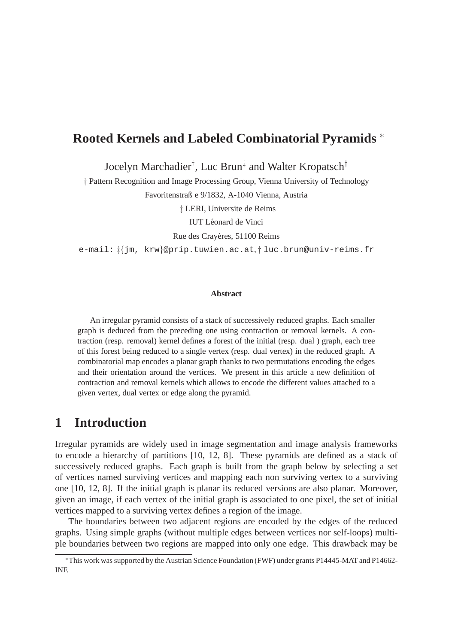## **Rooted Kernels and Labeled Combinatorial Pyramids** <sup>∗</sup>

Jocelyn Marchadier† , Luc Brun‡ and Walter Kropatsch†

† Pattern Recognition and Image Processing Group, Vienna University of Technology Favoritenstraß e 9/1832, A-1040 Vienna, Austria

‡ LERI, Universite de Reims

IUT Léonard de Vinci

Rue des Crayères, 51100 Reims

e-mail: ‡{jm, krw}@prip.tuwien.ac.at, † luc.brun@univ-reims.fr

#### **Abstract**

An irregular pyramid consists of a stack of successively reduced graphs. Each smaller graph is deduced from the preceding one using contraction or removal kernels. A contraction (resp. removal) kernel defines a forest of the initial (resp. dual ) graph, each tree of this forest being reduced to a single vertex (resp. dual vertex) in the reduced graph. A combinatorial map encodes a planar graph thanks to two permutations encoding the edges and their orientation around the vertices. We present in this article a new definition of contraction and removal kernels which allows to encode the different values attached to a given vertex, dual vertex or edge along the pyramid.

## **1 Introduction**

Irregular pyramids are widely used in image segmentation and image analysis frameworks to encode a hierarchy of partitions [10, 12, 8]. These pyramids are defined as a stack of successively reduced graphs. Each graph is built from the graph below by selecting a set of vertices named surviving vertices and mapping each non surviving vertex to a surviving one [10, 12, 8]. If the initial graph is planar its reduced versions are also planar. Moreover, given an image, if each vertex of the initial graph is associated to one pixel, the set of initial vertices mapped to a surviving vertex defines a region of the image.

The boundaries between two adjacent regions are encoded by the edges of the reduced graphs. Using simple graphs (without multiple edges between vertices nor self-loops) multiple boundaries between two regions are mapped into only one edge. This drawback may be

<sup>∗</sup>This work was supported by the Austrian Science Foundation (FWF) under grants P14445-MAT and P14662- INF.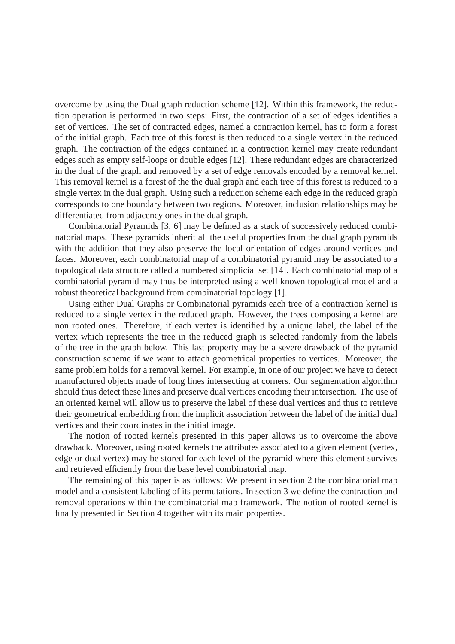overcome by using the Dual graph reduction scheme [12]. Within this framework, the reduction operation is performed in two steps: First, the contraction of a set of edges identifies a set of vertices. The set of contracted edges, named a contraction kernel, has to form a forest of the initial graph. Each tree of this forest is then reduced to a single vertex in the reduced graph. The contraction of the edges contained in a contraction kernel may create redundant edges such as empty self-loops or double edges [12]. These redundant edges are characterized in the dual of the graph and removed by a set of edge removals encoded by a removal kernel. This removal kernel is a forest of the the dual graph and each tree of this forest is reduced to a single vertex in the dual graph. Using such a reduction scheme each edge in the reduced graph corresponds to one boundary between two regions. Moreover, inclusion relationships may be differentiated from adjacency ones in the dual graph.

Combinatorial Pyramids [3, 6] may be defined as a stack of successively reduced combinatorial maps. These pyramids inherit all the useful properties from the dual graph pyramids with the addition that they also preserve the local orientation of edges around vertices and faces. Moreover, each combinatorial map of a combinatorial pyramid may be associated to a topological data structure called a numbered simplicial set [14]. Each combinatorial map of a combinatorial pyramid may thus be interpreted using a well known topological model and a robust theoretical background from combinatorial topology [1].

Using either Dual Graphs or Combinatorial pyramids each tree of a contraction kernel is reduced to a single vertex in the reduced graph. However, the trees composing a kernel are non rooted ones. Therefore, if each vertex is identified by a unique label, the label of the vertex which represents the tree in the reduced graph is selected randomly from the labels of the tree in the graph below. This last property may be a severe drawback of the pyramid construction scheme if we want to attach geometrical properties to vertices. Moreover, the same problem holds for a removal kernel. For example, in one of our project we have to detect manufactured objects made of long lines intersecting at corners. Our segmentation algorithm should thus detect these lines and preserve dual vertices encoding their intersection. The use of an oriented kernel will allow us to preserve the label of these dual vertices and thus to retrieve their geometrical embedding from the implicit association between the label of the initial dual vertices and their coordinates in the initial image.

The notion of rooted kernels presented in this paper allows us to overcome the above drawback. Moreover, using rooted kernels the attributes associated to a given element (vertex, edge or dual vertex) may be stored for each level of the pyramid where this element survives and retrieved efficiently from the base level combinatorial map.

The remaining of this paper is as follows: We present in section 2 the combinatorial map model and a consistent labeling of its permutations. In section 3 we define the contraction and removal operations within the combinatorial map framework. The notion of rooted kernel is finally presented in Section 4 together with its main properties.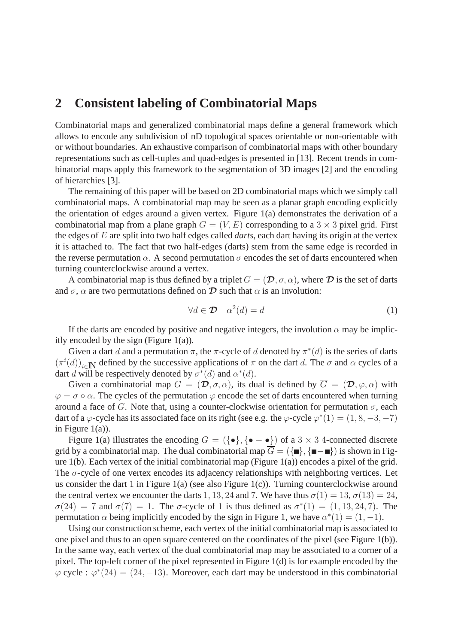## **2 Consistent labeling of Combinatorial Maps**

Combinatorial maps and generalized combinatorial maps define a general framework which allows to encode any subdivision of nD topological spaces orientable or non-orientable with or without boundaries. An exhaustive comparison of combinatorial maps with other boundary representations such as cell-tuples and quad-edges is presented in [13]. Recent trends in combinatorial maps apply this framework to the segmentation of 3D images [2] and the encoding of hierarchies [3].

The remaining of this paper will be based on 2D combinatorial maps which we simply call combinatorial maps. A combinatorial map may be seen as a planar graph encoding explicitly the orientation of edges around a given vertex. Figure 1(a) demonstrates the derivation of a combinatorial map from a plane graph  $G = (V, E)$  corresponding to a 3  $\times$  3 pixel grid. First the edges of E are split into two half edges called *darts*, each dart having its origin at the vertex it is attached to. The fact that two half-edges (darts) stem from the same edge is recorded in the reverse permutation  $\alpha$ . A second permutation  $\sigma$  encodes the set of darts encountered when turning counterclockwise around a vertex.

A combinatorial map is thus defined by a triplet  $G = (\mathcal{D}, \sigma, \alpha)$ , where  $\mathcal D$  is the set of darts and  $\sigma$ ,  $\alpha$  are two permutations defined on  $\mathcal D$  such that  $\alpha$  is an involution:

$$
\forall d \in \mathcal{D} \quad \alpha^2(d) = d \tag{1}
$$

If the darts are encoded by positive and negative integers, the involution  $\alpha$  may be implicitly encoded by the sign (Figure 1(a)).

Given a dart d and a permutation  $\pi$ , the  $\pi$ -cycle of d denoted by  $\pi^*(d)$  is the series of darts  $(\pi^i(d))_{i\in\mathbb{N}}$  defined by the successive applications of  $\pi$  on the dart d. The  $\sigma$  and  $\alpha$  cycles of a dart d will be respectively denoted by  $\sigma^*(d)$  and  $\alpha^*(d)$ .

Given a combinatorial map  $G = (\mathcal{D}, \sigma, \alpha)$ , its dual is defined by  $\overline{G} = (\mathcal{D}, \varphi, \alpha)$  with  $\varphi = \sigma \circ \alpha$ . The cycles of the permutation  $\varphi$  encode the set of darts encountered when turning around a face of G. Note that, using a counter-clockwise orientation for permutation  $\sigma$ , each dart of a  $\varphi$ -cycle has its associated face on its right (see e.g. the  $\varphi$ -cycle  $\varphi^*(1) = (1, 8, -3, -7)$ ) in Figure  $1(a)$ ).

Figure 1(a) illustrates the encoding  $G = (\{\bullet\}, \{\bullet - \bullet\})$  of a  $3 \times 3$  4-connected discrete grid by a combinatorial map. The dual combinatorial map  $\overline{G} = (\{\blacksquare\}, \{\blacksquare - \blacksquare\})$  is shown in Figure  $1(b)$ . Each vertex of the initial combinatorial map (Figure  $1(a)$ ) encodes a pixel of the grid. The  $\sigma$ -cycle of one vertex encodes its adjacency relationships with neighboring vertices. Let us consider the dart 1 in Figure 1(a) (see also Figure 1(c)). Turning counterclockwise around the central vertex we encounter the darts 1, 13, 24 and 7. We have thus  $\sigma(1) = 13$ ,  $\sigma(13) = 24$ ,  $\sigma(24) = 7$  and  $\sigma(7) = 1$ . The  $\sigma$ -cycle of 1 is thus defined as  $\sigma^*(1) = (1, 13, 24, 7)$ . The permutation  $\alpha$  being implicitly encoded by the sign in Figure 1, we have  $\alpha^*(1) = (1, -1)$ .

Using our construction scheme, each vertex of the initial combinatorial map is associated to one pixel and thus to an open square centered on the coordinates of the pixel (see Figure 1(b)). In the same way, each vertex of the dual combinatorial map may be associated to a corner of a pixel. The top-left corner of the pixel represented in Figure 1(d) is for example encoded by the  $\varphi$  cycle :  $\varphi^*(24) = (24, -13)$ . Moreover, each dart may be understood in this combinatorial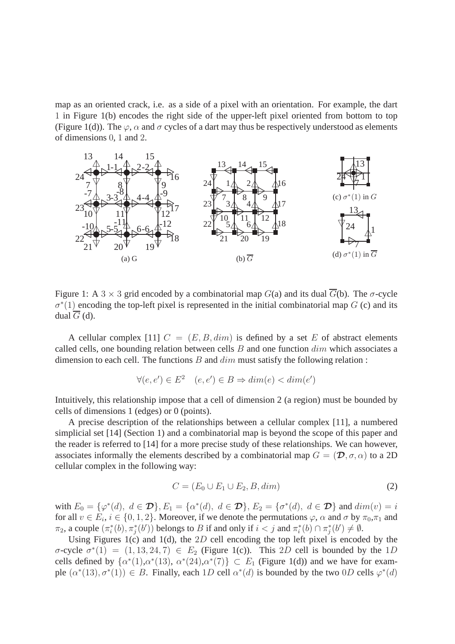map as an oriented crack, i.e. as a side of a pixel with an orientation. For example, the dart 1 in Figure 1(b) encodes the right side of the upper-left pixel oriented from bottom to top (Figure 1(d)). The  $\varphi$ ,  $\alpha$  and  $\sigma$  cycles of a dart may thus be respectively understood as elements of dimensions 0, 1 and 2.



Figure 1: A 3  $\times$  3 grid encoded by a combinatorial map  $G(a)$  and its dual  $\overline{G}(b)$ . The  $\sigma$ -cycle  $\sigma^*(1)$  encoding the top-left pixel is represented in the initial combinatorial map G (c) and its dual  $\overline{G}$  (d).

A cellular complex [11]  $C = (E, B, dim)$  is defined by a set E of abstract elements called cells, one bounding relation between cells  $B$  and one function  $dim$  which associates a dimension to each cell. The functions  $B$  and  $\dim$  must satisfy the following relation :

$$
\forall (e, e') \in E^2 \quad (e, e') \in B \Rightarrow dim(e) < dim(e')
$$

Intuitively, this relationship impose that a cell of dimension 2 (a region) must be bounded by cells of dimensions 1 (edges) or 0 (points).

A precise description of the relationships between a cellular complex [11], a numbered simplicial set [14] (Section 1) and a combinatorial map is beyond the scope of this paper and the reader is referred to [14] for a more precise study of these relationships. We can however, associates informally the elements described by a combinatorial map  $G = (\mathcal{D}, \sigma, \alpha)$  to a 2D cellular complex in the following way:

$$
C = (E_0 \cup E_1 \cup E_2, B, dim) \tag{2}
$$

with  $E_0 = \{\varphi^*(d), d \in \mathcal{D}\}, E_1 = \{\alpha^*(d), d \in \mathcal{D}\}, E_2 = \{\sigma^*(d), d \in \mathcal{D}\}$  and  $dim(v) = i$ for all  $v \in E_i$ ,  $i \in \{0, 1, 2\}$ . Moreover, if we denote the permutations  $\varphi$ ,  $\alpha$  and  $\sigma$  by  $\pi_0, \pi_1$  and  $\pi_2$ , a couple  $(\pi_i^*)$  $\mathcal{L}_i^*(b), \pi_j^*(b')$  belongs to B if and only if  $i < j$  and  $\pi_i^*$  $\pi_i^*(b) \cap \pi_j^*$  $j^*(b') \neq \emptyset$ .

Using Figures 1(c) and 1(d), the  $2D$  cell encoding the top left pixel is encoded by the σ-cycle  $\sigma^*(1) = (1, 13, 24, 7) \in E_2$  (Figure 1(c)). This 2D cell is bounded by the 1D cells defined by  $\{\alpha^*(1), \alpha^*(13), \alpha^*(24), \alpha^*(7)\} \subset E_1$  (Figure 1(d)) and we have for example  $(\alpha^*(13), \sigma^*(1)) \in B$ . Finally, each 1D cell  $\alpha^*(d)$  is bounded by the two 0D cells  $\varphi^*(d)$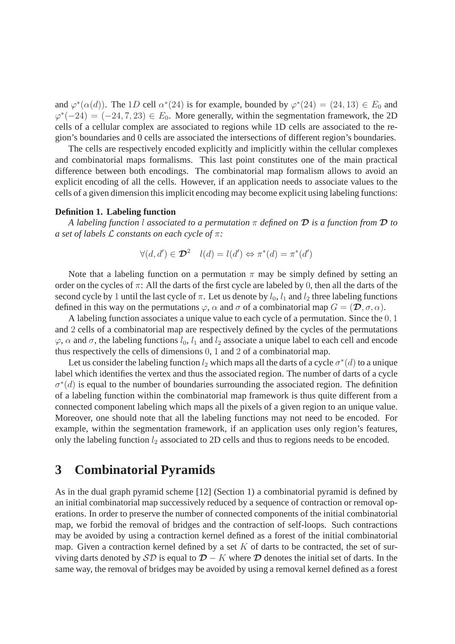and  $\varphi^*(\alpha(d))$ . The 1D cell  $\alpha^*(24)$  is for example, bounded by  $\varphi^*(24) = (24, 13) \in E_0$  and  $\varphi^*(-24) = (-24, 7, 23) \in E_0$ . More generally, within the segmentation framework, the 2D cells of a cellular complex are associated to regions while 1D cells are associated to the region's boundaries and 0 cells are associated the intersections of different region's boundaries.

The cells are respectively encoded explicitly and implicitly within the cellular complexes and combinatorial maps formalisms. This last point constitutes one of the main practical difference between both encodings. The combinatorial map formalism allows to avoid an explicit encoding of all the cells. However, if an application needs to associate values to the cells of a given dimension this implicit encoding may become explicit using labeling functions:

### **Definition 1. Labeling function**

*A labeling function* l *associated to a permutation* π *defined on* D *is a function from* D *to a set of labels* L *constants on each cycle of* π*:*

$$
\forall (d, d') \in \mathcal{D}^2 \quad l(d) = l(d') \Leftrightarrow \pi^*(d) = \pi^*(d')
$$

Note that a labeling function on a permutation  $\pi$  may be simply defined by setting an order on the cycles of  $\pi$ : All the darts of the first cycle are labeled by 0, then all the darts of the second cycle by 1 until the last cycle of  $\pi$ . Let us denote by  $l_0$ ,  $l_1$  and  $l_2$  three labeling functions defined in this way on the permutations  $\varphi$ ,  $\alpha$  and  $\sigma$  of a combinatorial map  $G = (\mathcal{D}, \sigma, \alpha)$ .

A labeling function associates a unique value to each cycle of a permutation. Since the 0, 1 and 2 cells of a combinatorial map are respectively defined by the cycles of the permutations  $\varphi$ ,  $\alpha$  and  $\sigma$ , the labeling functions  $l_0$ ,  $l_1$  and  $l_2$  associate a unique label to each cell and encode thus respectively the cells of dimensions 0, 1 and 2 of a combinatorial map.

Let us consider the labeling function  $l_2$  which maps all the darts of a cycle  $\sigma^*(d)$  to a unique label which identifies the vertex and thus the associated region. The number of darts of a cycle  $\sigma^*(d)$  is equal to the number of boundaries surrounding the associated region. The definition of a labeling function within the combinatorial map framework is thus quite different from a connected component labeling which maps all the pixels of a given region to an unique value. Moreover, one should note that all the labeling functions may not need to be encoded. For example, within the segmentation framework, if an application uses only region's features, only the labeling function  $l_2$  associated to 2D cells and thus to regions needs to be encoded.

## **3 Combinatorial Pyramids**

As in the dual graph pyramid scheme [12] (Section 1) a combinatorial pyramid is defined by an initial combinatorial map successively reduced by a sequence of contraction or removal operations. In order to preserve the number of connected components of the initial combinatorial map, we forbid the removal of bridges and the contraction of self-loops. Such contractions may be avoided by using a contraction kernel defined as a forest of the initial combinatorial map. Given a contraction kernel defined by a set  $K$  of darts to be contracted, the set of surviving darts denoted by  $\mathcal{SD}$  is equal to  $\mathcal{D} - K$  where  $\mathcal D$  denotes the initial set of darts. In the same way, the removal of bridges may be avoided by using a removal kernel defined as a forest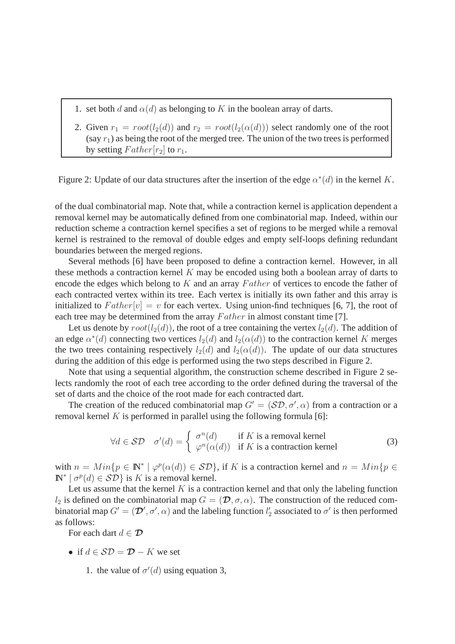- 1. set both d and  $\alpha(d)$  as belonging to K in the boolean array of darts.
- 2. Given  $r_1 = root(l_2(d))$  and  $r_2 = root(l_2(\alpha(d)))$  select randomly one of the root (say  $r_1$ ) as being the root of the merged tree. The union of the two trees is performed by setting  $Father[r_2]$  to  $r_1$ .

Figure 2: Update of our data structures after the insertion of the edge  $\alpha^*(d)$  in the kernel K.

of the dual combinatorial map. Note that, while a contraction kernel is application dependent a removal kernel may be automatically defined from one combinatorial map. Indeed, within our reduction scheme a contraction kernel specifies a set of regions to be merged while a removal kernel is restrained to the removal of double edges and empty self-loops defining redundant boundaries between the merged regions.

Several methods [6] have been proposed to define a contraction kernel. However, in all these methods a contraction kernel K may be encoded using both a boolean array of darts to encode the edges which belong to  $K$  and an array  $Father$  of vertices to encode the father of each contracted vertex within its tree. Each vertex is initially its own father and this array is initialized to  $Father[v] = v$  for each vertex. Using union-find techniques [6, 7], the root of each tree may be determined from the array  $Father$  in almost constant time [7].

Let us denote by  $root(l_2(d))$ , the root of a tree containing the vertex  $l_2(d)$ . The addition of an edge  $\alpha^*(d)$  connecting two vertices  $l_2(d)$  and  $l_2(\alpha(d))$  to the contraction kernel K merges the two trees containing respectively  $l_2(d)$  and  $l_2(\alpha(d))$ . The update of our data structures during the addition of this edge is performed using the two steps described in Figure 2.

Note that using a sequential algorithm, the construction scheme described in Figure 2 selects randomly the root of each tree according to the order defined during the traversal of the set of darts and the choice of the root made for each contracted dart.

The creation of the reduced combinatorial map  $G' = (S\mathcal{D}, \sigma', \alpha)$  from a contraction or a removal kernel  $K$  is performed in parallel using the following formula [6]:

$$
\forall d \in \mathcal{SD} \quad \sigma'(d) = \begin{cases} \sigma^n(d) & \text{if } K \text{ is a removal kernel} \\ \varphi^n(\alpha(d)) & \text{if } K \text{ is a contraction kernel} \end{cases}
$$
 (3)

with  $n = Min\{p \in \mathbb{N}^* \mid \varphi^p(\alpha(d)) \in \mathcal{SD}\}\$ , if K is a contraction kernel and  $n = Min\{p \in \mathbb{N}^* \mid \varphi^p(\alpha(d))\}$  $\mathbb{N}^* \mid \sigma^p(d) \in \mathcal{SD}$  is K is a removal kernel.

Let us assume that the kernel  $K$  is a contraction kernel and that only the labeling function  $l_2$  is defined on the combinatorial map  $G = (\mathcal{D}, \sigma, \alpha)$ . The construction of the reduced combinatorial map  $G' = (\mathcal{D}', \sigma', \alpha)$  and the labeling function  $l'_2$  associated to  $\sigma'$  is then performed as follows:

For each dart  $d \in \mathcal{D}$ 

- if  $d \in \mathcal{SD} = \mathcal{D} K$  we set
	- 1. the value of  $\sigma'(d)$  using equation 3,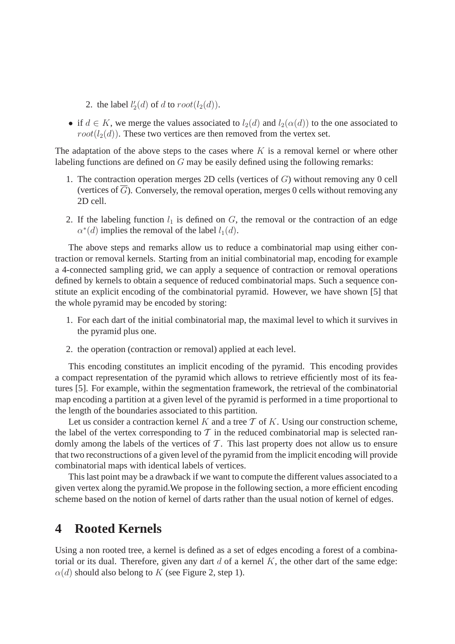- 2. the label  $l'_2(d)$  of d to  $root(l_2(d))$ .
- if  $d \in K$ , we merge the values associated to  $l_2(d)$  and  $l_2(\alpha(d))$  to the one associated to  $root(l_2(d))$ . These two vertices are then removed from the vertex set.

The adaptation of the above steps to the cases where  $K$  is a removal kernel or where other labeling functions are defined on G may be easily defined using the following remarks:

- 1. The contraction operation merges 2D cells (vertices of G) without removing any 0 cell (vertices of  $\overline{G}$ ). Conversely, the removal operation, merges 0 cells without removing any 2D cell.
- 2. If the labeling function  $l_1$  is defined on  $G$ , the removal or the contraction of an edge  $\alpha^*(d)$  implies the removal of the label  $l_1(d)$ .

The above steps and remarks allow us to reduce a combinatorial map using either contraction or removal kernels. Starting from an initial combinatorial map, encoding for example a 4-connected sampling grid, we can apply a sequence of contraction or removal operations defined by kernels to obtain a sequence of reduced combinatorial maps. Such a sequence constitute an explicit encoding of the combinatorial pyramid. However, we have shown [5] that the whole pyramid may be encoded by storing:

- 1. For each dart of the initial combinatorial map, the maximal level to which it survives in the pyramid plus one.
- 2. the operation (contraction or removal) applied at each level.

This encoding constitutes an implicit encoding of the pyramid. This encoding provides a compact representation of the pyramid which allows to retrieve efficiently most of its features [5]. For example, within the segmentation framework, the retrieval of the combinatorial map encoding a partition at a given level of the pyramid is performed in a time proportional to the length of the boundaries associated to this partition.

Let us consider a contraction kernel  $K$  and a tree  $T$  of  $K$ . Using our construction scheme, the label of the vertex corresponding to  $\mathcal T$  in the reduced combinatorial map is selected randomly among the labels of the vertices of  $\mathcal T$ . This last property does not allow us to ensure that two reconstructions of a given level of the pyramid from the implicit encoding will provide combinatorial maps with identical labels of vertices.

This last point may be a drawback if we want to compute the different values associated to a given vertex along the pyramid.We propose in the following section, a more efficient encoding scheme based on the notion of kernel of darts rather than the usual notion of kernel of edges.

# **4 Rooted Kernels**

Using a non rooted tree, a kernel is defined as a set of edges encoding a forest of a combinatorial or its dual. Therefore, given any dart  $d$  of a kernel  $K$ , the other dart of the same edge:  $\alpha(d)$  should also belong to K (see Figure 2, step 1).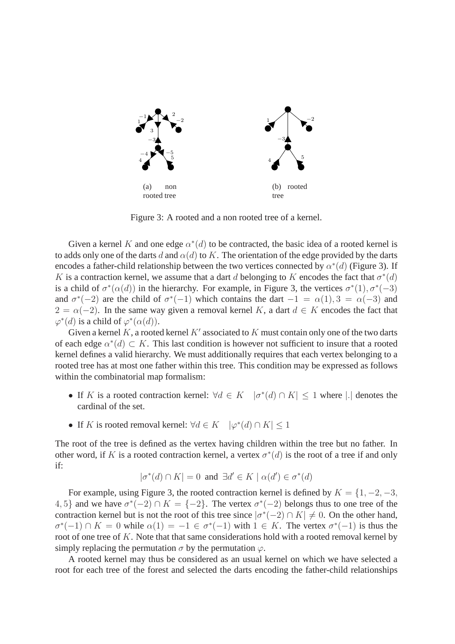

Figure 3: A rooted and a non rooted tree of a kernel.

Given a kernel K and one edge  $\alpha^*(d)$  to be contracted, the basic idea of a rooted kernel is to adds only one of the darts d and  $\alpha(d)$  to K. The orientation of the edge provided by the darts encodes a father-child relationship between the two vertices connected by  $\alpha^*(d)$  (Figure 3). If K is a contraction kernel, we assume that a dart d belonging to K encodes the fact that  $\sigma^*(d)$ is a child of  $\sigma^*(\alpha(d))$  in the hierarchy. For example, in Figure 3, the vertices  $\sigma^*(1), \sigma^*(-3)$ and  $\sigma^*(-2)$  are the child of  $\sigma^*(-1)$  which contains the dart  $-1 = \alpha(1), 3 = \alpha(-3)$  and  $2 = \alpha(-2)$ . In the same way given a removal kernel K, a dart  $d \in K$  encodes the fact that  $\varphi^*(d)$  is a child of  $\varphi^*(\alpha(d)).$ 

Given a kernel K, a rooted kernel  $K'$  associated to K must contain only one of the two darts of each edge  $\alpha^*(d) \subset K$ . This last condition is however not sufficient to insure that a rooted kernel defines a valid hierarchy. We must additionally requires that each vertex belonging to a rooted tree has at most one father within this tree. This condition may be expressed as follows within the combinatorial map formalism:

- If K is a rooted contraction kernel:  $\forall d \in K \mid \sigma^*(d) \cap K \leq 1$  where |. | denotes the cardinal of the set.
- If K is rooted removal kernel:  $\forall d \in K \quad |\varphi^*(d) \cap K| \leq 1$

The root of the tree is defined as the vertex having children within the tree but no father. In other word, if K is a rooted contraction kernel, a vertex  $\sigma^*(d)$  is the root of a tree if and only if:

$$
|\sigma^*(d) \cap K| = 0 \text{ and } \exists d' \in K \mid \alpha(d') \in \sigma^*(d)
$$

For example, using Figure 3, the rooted contraction kernel is defined by  $K = \{1, -2, -3,$ 4, 5} and we have  $\sigma^*(-2) \cap K = \{-2\}$ . The vertex  $\sigma^*(-2)$  belongs thus to one tree of the contraction kernel but is not the root of this tree since  $|\sigma^*(-2) \cap K| \neq 0$ . On the other hand,  $\sigma^*(-1) \cap K = 0$  while  $\alpha(1) = -1 \in \sigma^*(-1)$  with  $1 \in K$ . The vertex  $\sigma^*(-1)$  is thus the root of one tree of K. Note that that same considerations hold with a rooted removal kernel by simply replacing the permutation  $\sigma$  by the permutation  $\varphi$ .

A rooted kernel may thus be considered as an usual kernel on which we have selected a root for each tree of the forest and selected the darts encoding the father-child relationships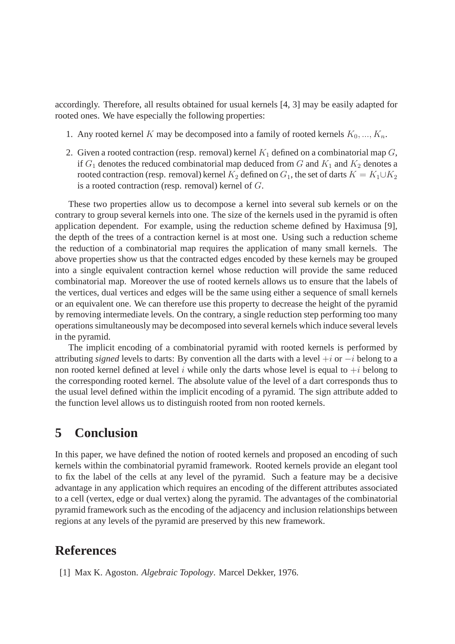accordingly. Therefore, all results obtained for usual kernels [4, 3] may be easily adapted for rooted ones. We have especially the following properties:

- 1. Any rooted kernel K may be decomposed into a family of rooted kernels  $K_0, ..., K_n$ .
- 2. Given a rooted contraction (resp. removal) kernel  $K_1$  defined on a combinatorial map  $G$ , if  $G_1$  denotes the reduced combinatorial map deduced from G and  $K_1$  and  $K_2$  denotes a rooted contraction (resp. removal) kernel  $K_2$  defined on  $G_1$ , the set of darts  $K = K_1 \cup K_2$ is a rooted contraction (resp. removal) kernel of G.

These two properties allow us to decompose a kernel into several sub kernels or on the contrary to group several kernels into one. The size of the kernels used in the pyramid is often application dependent. For example, using the reduction scheme defined by Haximusa [9], the depth of the trees of a contraction kernel is at most one. Using such a reduction scheme the reduction of a combinatorial map requires the application of many small kernels. The above properties show us that the contracted edges encoded by these kernels may be grouped into a single equivalent contraction kernel whose reduction will provide the same reduced combinatorial map. Moreover the use of rooted kernels allows us to ensure that the labels of the vertices, dual vertices and edges will be the same using either a sequence of small kernels or an equivalent one. We can therefore use this property to decrease the height of the pyramid by removing intermediate levels. On the contrary, a single reduction step performing too many operations simultaneously may be decomposed into several kernels which induce several levels in the pyramid.

The implicit encoding of a combinatorial pyramid with rooted kernels is performed by attributing *signed* levels to darts: By convention all the darts with a level +i or −i belong to a non rooted kernel defined at level i while only the darts whose level is equal to  $+i$  belong to the corresponding rooted kernel. The absolute value of the level of a dart corresponds thus to the usual level defined within the implicit encoding of a pyramid. The sign attribute added to the function level allows us to distinguish rooted from non rooted kernels.

## **5 Conclusion**

In this paper, we have defined the notion of rooted kernels and proposed an encoding of such kernels within the combinatorial pyramid framework. Rooted kernels provide an elegant tool to fix the label of the cells at any level of the pyramid. Such a feature may be a decisive advantage in any application which requires an encoding of the different attributes associated to a cell (vertex, edge or dual vertex) along the pyramid. The advantages of the combinatorial pyramid framework such as the encoding of the adjacency and inclusion relationships between regions at any levels of the pyramid are preserved by this new framework.

## **References**

[1] Max K. Agoston. *Algebraic Topology*. Marcel Dekker, 1976.